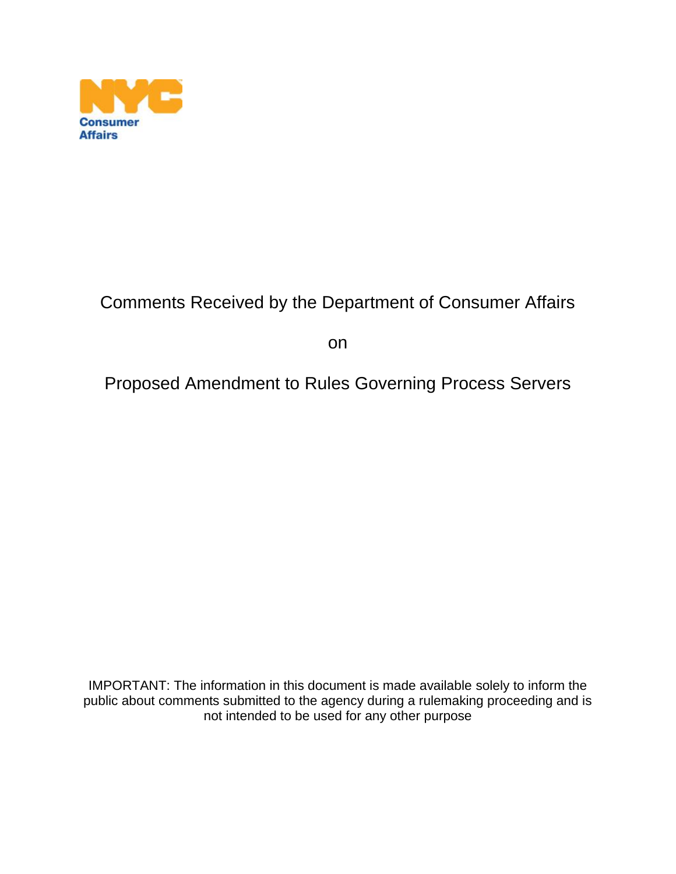

# Comments Received by the Department of Consumer Affairs

on

## Proposed Amendment to Rules Governing Process Servers

IMPORTANT: The information in this document is made available solely to inform the public about comments submitted to the agency during a rulemaking proceeding and is not intended to be used for any other purpose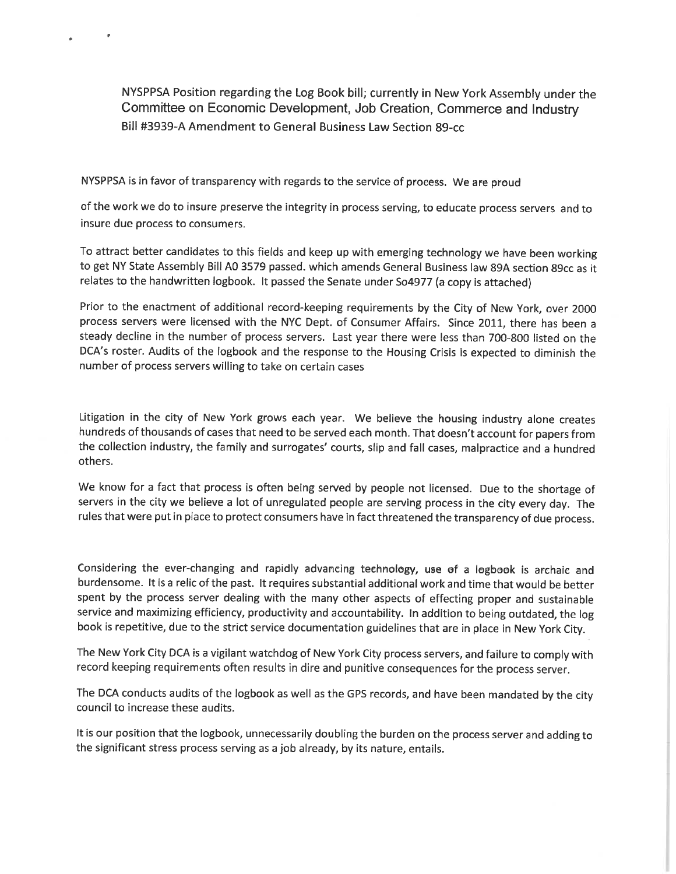NYSPPSA Position regarding the Log Book bill; currently in New York Assembly under the Committee on Economic Development, Job Creation, Commerce and Industry Bill #3939-A Amendment to General Business Law Section 89-cc

NYSPPSA is in favor of transparency with regards to the service of process. We are proud

of the work we do to insure preserve the integrity in process serving, to educate process servers and to insure due process to consumers.

To attract better candidates to this fields and keep up with emerging technology we have been working to get NY State Assembly Bill A0 3579 passed. which amends General Business law 89A section 89cc as it relates to the handwritten logbook. It passed the Senate under So4977 (a copy is attached)

Prior to the enactment of additional record-keeping requirements by the City of New York, over 2000 process servers were licensed with the NYC Dept. of Consumer Affairs. Since 2011, there has been a steady decline in the number of process servers. Last year there were less than 700-800 listed on the DCA's roster. Audits of the logbook and the response to the Housing Crisis is expected to diminish the number of process servers willing to take on certain cases

Litigation in the city of New York grows each year. We believe the housing industry alone creates hundreds of thousands of cases that need to be served each month. That doesn't account for papers from the collection industry, the family and surrogates' courts, slip and fall cases, malpractice and a hundred others.

We know for a fact that process is often being served by people not licensed. Due to the shortage of servers in the city we believe a lot of unregulated people are serving process in the city every day. The rules that were put in place to protect consumers have in fact threatened the transparency of due process.

Considering the ever-changing and rapidly advancing technology, use of a logbook is archaic and burdensome. It is a relic of the past. It requires substantial additional work and time that would be better spent by the process server dealing with the many other aspects of effecting proper and sustainable service and maximizing efficiency, productivity and accountability. In addition to being outdated, the log book is repetitive, due to the strict service documentation guidelines that are in place in New York City.

The New York City DCA is a vigilant watchdog of New York City process servers, and failure to comply with record keeping requirements often results in dire and punitive consequences for the process server.

The DCA conducts audits of the logbook as well as the GPS records, and have been mandated by the city council to increase these audits.

It is our position that the logbook, unnecessarily doubling the burden on the process server and adding to the significant stress process serving as a job already, by its nature, entails.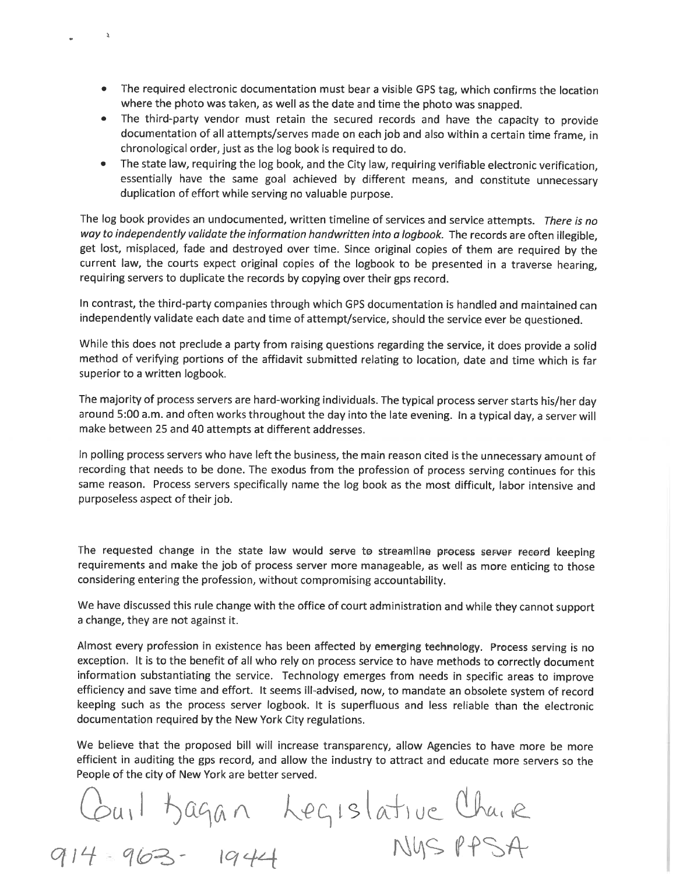• The required electronic documentation must bear a visible GPS tag, which confirms the location where the photo was taken, as well as the date and time the photo was snapped.

 $\mathbf{r}$ 

- The third-party vendor must retain the secured records and have the capacity to provide documentation of all attempts/serves made on each job and also within a certain time frame, in chronological order, just as the log book is required to do.
- The state law, requiring the log book, and the City law, requiring verifiable electronic verification, essentially have the same goal achieved by different means, and constitute unnecessary duplication of effort while serving no valuable purpose.

The log book provides an undocumented, written timeline of services and service attempts. There is no way to independently validate the information handwritten into a logbook. The records are often illegible. get lost, misplaced, fade and destroyed over time. Since original copies of them are required by the current law, the courts expect original copies of the logbook to be presented in a traverse hearing, requiring servers to duplicate the records by copying over their gps record.

In contrast, the third-party companies through which GPS documentation is handled and maintained can independently validate each date and time of attempt/service, should the service ever be questioned.

While this does not preclude a party from raising questions regarding the service, it does provide a solid method of verifying portions of the affidavit submitted relating to location, date and time which is far superior to a written logbook.

The majority of process servers are hard-working individuals. The typical process server starts his/her day around 5:00 a.m. and often works throughout the day into the late evening. In a typical day, a server will make between 25 and 40 attempts at different addresses.

In polling process servers who have left the business, the main reason cited is the unnecessary amount of recording that needs to be done. The exodus from the profession of process serving continues for this same reason. Process servers specifically name the log book as the most difficult, labor intensive and purposeless aspect of their job.

The requested change in the state law would serve to streamline process server record keeping requirements and make the job of process server more manageable, as well as more enticing to those considering entering the profession, without compromising accountability.

We have discussed this rule change with the office of court administration and while they cannot support a change, they are not against it.

Almost every profession in existence has been affected by emerging technology. Process serving is no exception. It is to the benefit of all who rely on process service to have methods to correctly document information substantiating the service. Technology emerges from needs in specific areas to improve efficiency and save time and effort. It seems ill-advised, now, to mandate an obsolete system of record keeping such as the process server logbook. It is superfluous and less reliable than the electronic documentation required by the New York City regulations.

We believe that the proposed bill will increase transparency, allow Agencies to have more be more efficient in auditing the gps record, and allow the industry to attract and educate more servers so the People of the city of New York are better served.

Couil Bagan Legislative Chaire<br>914-963-1944 Nysppsa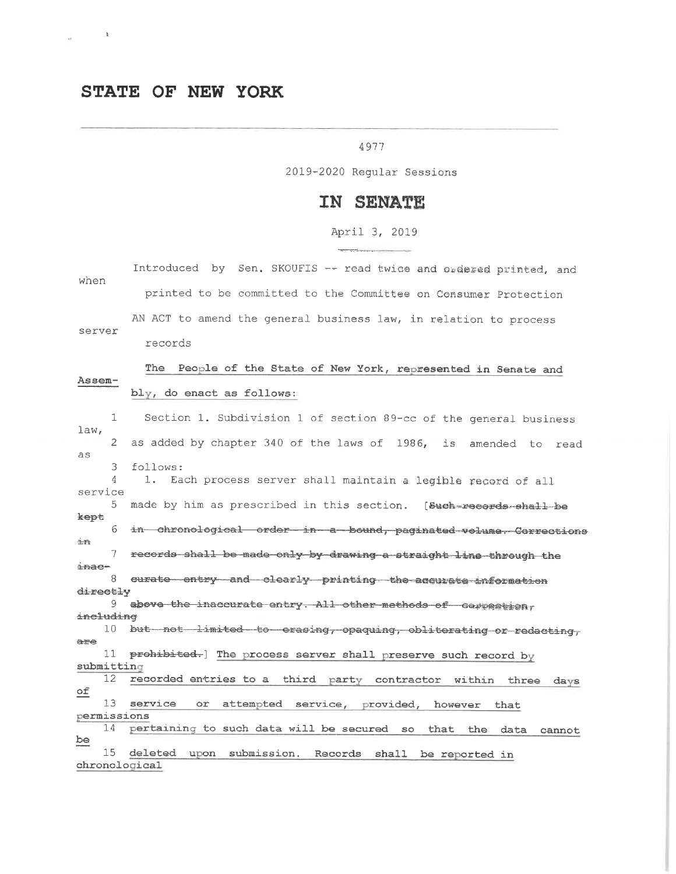### STATE OF NEW YORK

#### 4977

2019-2020 Regular Sessions

### IN SENATE

April 3, 2019  $\label{eq:3.1} \frac{1}{\sqrt{2\pi}\sqrt{2\pi}}\frac{1}{\sqrt{2\pi}}\frac{1}{\sqrt{2\pi}}\frac{1}{\sqrt{2\pi}}\frac{1}{\sqrt{2\pi}}\frac{1}{\sqrt{2\pi}}\frac{1}{\sqrt{2\pi}}\frac{1}{\sqrt{2\pi}}\frac{1}{\sqrt{2\pi}}\frac{1}{\sqrt{2\pi}}\frac{1}{\sqrt{2\pi}}\frac{1}{\sqrt{2\pi}}\frac{1}{\sqrt{2\pi}}\frac{1}{\sqrt{2\pi}}\frac{1}{\sqrt{2\pi}}\frac{1}{\sqrt{2\pi}}\frac{1}{\sqrt{2\pi}}\$ 

| Introduced by Sen. SKOUFIS -- read twice and ordered printed, and                      |
|----------------------------------------------------------------------------------------|
| when<br>printed to be committed to the Committee on Consumer Protection                |
| AN ACT to amend the general business law, in relation to process<br>server             |
| records                                                                                |
| The<br>People of the State of New York, represented in Senate and<br>Assem-            |
| bly, do enact as follows:                                                              |
| 1<br>Section 1. Subdivision 1 of section 89-cc of the general business<br>law,         |
| 2<br>as added by chapter 340 of the laws of 1986, is amended to<br>read<br>as          |
| follows:<br>3<br>4<br>1.<br>Each process server shall maintain a legible recerd of all |
| service<br>5.<br>made by him as prescribed in this section. [Such-records-chall be     |
| kept<br>6<br>in chronological order in a bound, paginated volume. Corrections          |
| 1n<br>7<br>records shall be made only by drawing a straight line through the           |
| inac-<br>8<br>curate entry and clearly printing the accurate information               |
| directly                                                                               |
| 9.<br>above the inaccurate entry. All other methods of correstion,<br>including        |
| 10<br>but not limited to erasing, opaquing, obliterating or redacting,                 |
| are                                                                                    |
| 11<br>prohibited. The process server shall preserve such record by                     |
| submitting                                                                             |
| 12<br>recorded entries to a third party contractor within<br>three days                |
| оf<br>13<br>service<br>or.                                                             |
| attempted service, provided, however<br>that<br>permissions                            |
| 14<br>pertaining to such data will be secured so<br>that<br>the<br>data<br>cannot      |
| pe<br>15<br>deleted<br>submission. Records<br>upon.<br>shall be reported in            |
| chronological                                                                          |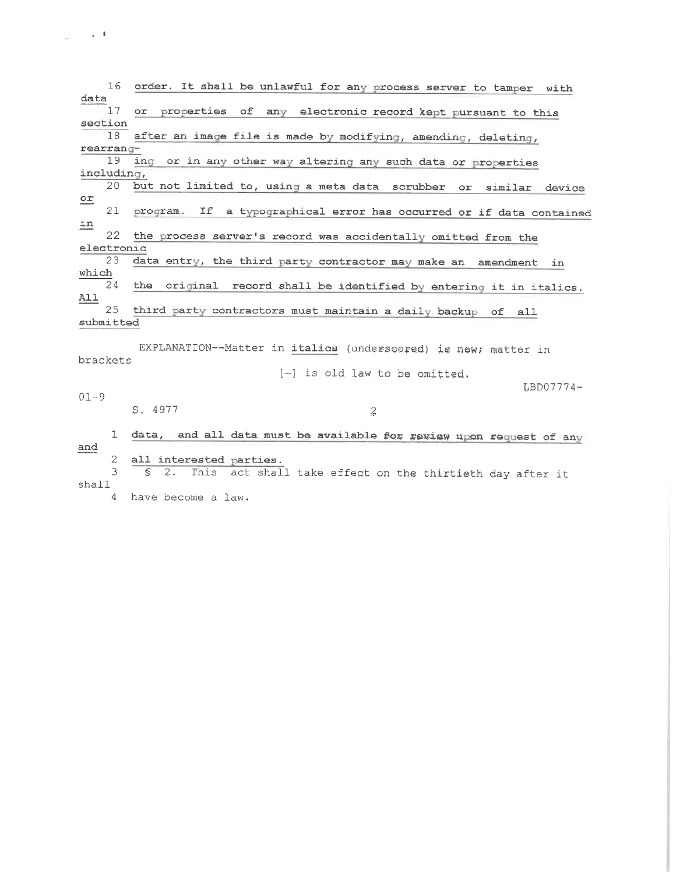16 order. It shall be unlawful for any process server to tamper with data  $17$ or properties of any electronic record kept pursuant to this section 18 after an image file is made by modifying, amending, deleting, rearranging or in any other way altering any such data or properties  $19$ including, 20 but not limited to, using a meta data scrubber or similar device  $\circ x$ 21 program. If a typographical error has occurred or if data contained in 22 the process server's record was accidentally omitted from the electronic  $23$ data entry, the third party contractor may make an amendment in which 24 the original record shall be identified by entering it in italics.  $A11$ 25 third party contractors must maintain a daily backup of all submitted EXPLANATION--Matter in italics (underscored) is new; matter in brackets [-] is old law to be omitted.  $LBD07774 01 - 9$  $S.4977$  $\boldsymbol{2}$ 1 data, and all data must be available for review upon request of any and  $\mathcal{L}$ all interested parties.  $\mathfrak{Z}$ § 2. This act shall take effect on the thirtieth day after it shall 4 have become a law.

 $\frac{1}{\sqrt{2}}\left(1-\frac{1}{2}\right)$  ,  $\frac{1}{\sqrt{2}}\left(1-\frac{1}{2}\right)$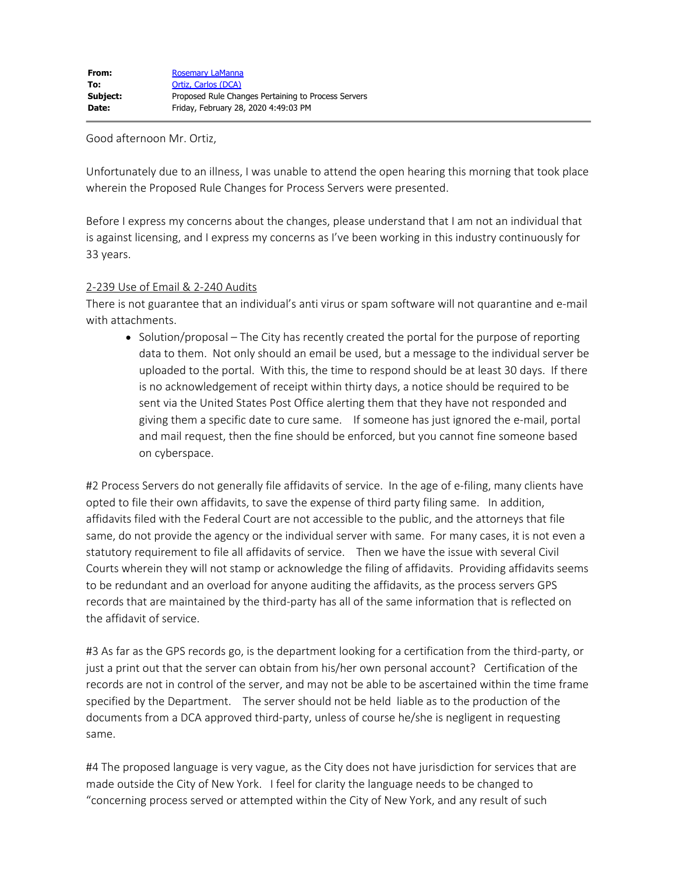Good afternoon Mr. Ortiz,

Unfortunately due to an illness, I was unable to attend the open hearing this morning that took place wherein the Proposed Rule Changes for Process Servers were presented.

Before I express my concerns about the changes, please understand that I am not an individual that is against licensing, and I express my concerns as I've been working in this industry continuously for 33 years.

#### 2-239 Use of Email & 2-240 Audits

There is not guarantee that an individual's anti virus or spam software will not quarantine and e-mail with attachments.

 $\bullet$  Solution/proposal – The City has recently created the portal for the purpose of reporting data to them. Not only should an email be used, but a message to the individual server be uploaded to the portal. With this, the time to respond should be at least 30 days. If there is no acknowledgement of receipt within thirty days, a notice should be required to be sent via the United States Post Office alerting them that they have not responded and giving them a specific date to cure same. If someone has just ignored the e-mail, portal and mail request, then the fine should be enforced, but you cannot fine someone based on cyberspace.

#2 Process Servers do not generally file affidavits of service. In the age of e-filing, many clients have opted to file their own affidavits, to save the expense of third party filing same. In addition, affidavits filed with the Federal Court are not accessible to the public, and the attorneys that file same, do not provide the agency or the individual server with same. For many cases, it is not even a statutory requirement to file all affidavits of service. Then we have the issue with several Civil Courts wherein they will not stamp or acknowledge the filing of affidavits. Providing affidavits seems to be redundant and an overload for anyone auditing the affidavits, as the process servers GPS records that are maintained by the third-party has all of the same information that is reflected on the affidavit of service.

#3 As far as the GPS records go, is the department looking for a certification from the third-party, or just a print out that the server can obtain from his/her own personal account? Certification of the records are not in control of the server, and may not be able to be ascertained within the time frame specified by the Department. The server should not be held liable as to the production of the documents from a DCA approved third-party, unless of course he/she is negligent in requesting same.

#4 The proposed language is very vague, as the City does not have jurisdiction for services that are made outside the City of New York. I feel for clarity the language needs to be changed to "concerning process served or attempted within the City of New York, and any result of such